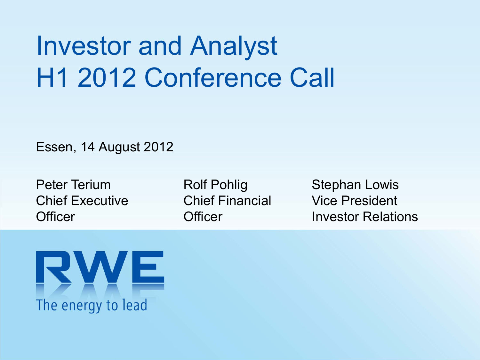# Investor and Analyst H1 2012 Conference Call

Essen, 14 August 2012

Peter TeriumChief Executive**Officer** 

Rolf Pohlig Chief Financial**Officer** 

Stephan Lowis Vice PresidentInvestor Relations

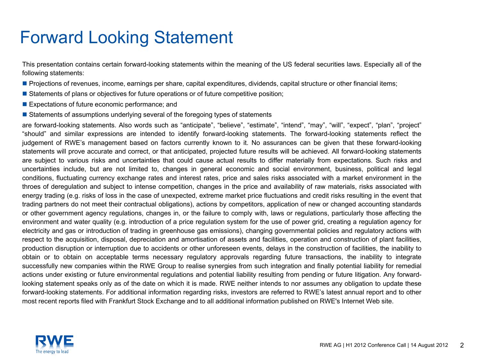### Forward Looking Statement

This presentation contains certain forward-looking statements within the meaning of the US federal securities laws. Especially all of the following statements:

- Projections of revenues, income, earnings per share, capital expenditures, dividends, capital structure or other financial items;
- **Statements of plans or objectives for future operations or of future competitive position**;
- **Expectations of future economic performance; and**
- **Statements of assumptions underlying several of the foregoing types of statements**

are forward-looking statements. Also words such as "anticipate", "believe", "estimate", "intend", "may", "will", "expect", "plan", "project" "should" and similar expressions are intended to identify forward-looking statements. The forward-looking statements reflect the judgement of RWE's management based on factors currently known to it. No assurances can be given that these forward-looking statements will prove accurate and correct, or that anticipated, projected future results will be achieved. All forward-looking statements are subject to various risks and uncertainties that could cause actual results to differ materially from expectations. Such risks and uncertainties include, but are not limited to, changes in general economic and social environment, business, political and legal conditions, fluctuating currency exchange rates and interest rates, price and sales risks associated with <sup>a</sup> market environment in the throes of deregulation and subject to intense competition, changes in the price and availability of raw materials, risks associated with energy trading (e.g. risks of loss in the case of unexpected, extreme market price fluctuations and credit risks resulting in the event that trading partners do not meet their contractual obligations), actions by competitors, application of new or changed accounting standards or other government agency regulations, changes in, or the failure to comply with, laws or regulations, particularly those affecting the environment and water quality (e.g. introduction of <sup>a</sup> price regulation system for the use of power grid, creating <sup>a</sup> regulation agency for electricity and gas or introduction of trading in greenhouse gas emissions), changing governmental policies and regulatory actions with respect to the acquisition, disposal, depreciation and amortisation of assets and facilities, operation and construction of plant facilities, production disruption or interruption due to accidents or other unforeseen events, delays in the construction of facilities, the inability to obtain or to obtain on acceptable terms necessary regulatory approvals regarding future transactions, the inability to integrate successfully new companies within the RWE Group to realise synergies from such integration and finally potential liability for remedial actions under existing or future environmental regulations and potential liability resulting from pending or future litigation. Any forwardlooking statement speaks only as of the date on which it is made. RWE neither intends to nor assumes any obligation to update these forward-looking statements. For additional information regarding risks, investors are referred to RWE's latest annual report and to other most recent reports filed with Frankfurt Stock Exchange and to all additional information published on RWE's Internet Web site.

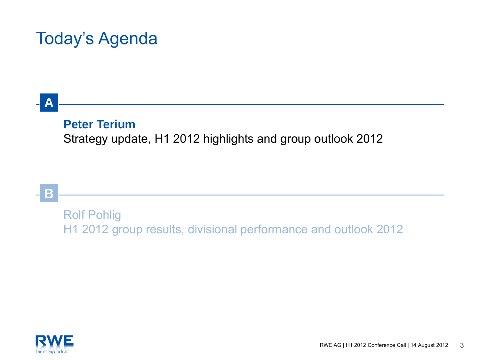### Today's Agenda

### **A**

### **Peter Terium**

Strategy update, H1 2012 highlights and group outlook 2012

### **B**

Rolf Pohlig H1 2012 group results, divisional performance and outlook 2012

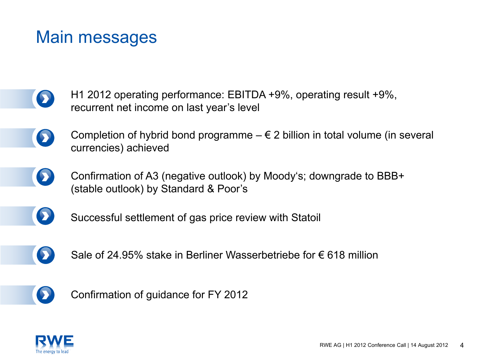### Main messages

- H1 2012 operating performance: EBITDA +9%, operating result +9%,  $\bullet$ recurrent net income on last year's level
	- Completion of hybrid bond programme  $-\epsilon$  2 billion in total volume (in several  $\boldsymbol{\Omega}$ currencies) achieved
		- Confirmation of A3 (negative outlook) by Moody's; downgrade to BBB+ (stable outlook) by Standard & Poor's
- $\blacktriangleright$

 $\bullet$ 

Successful settlement of gas price review with Statoil



Sale of 24.95% stake in Berliner Wasserbetriebe for € 618 million



Confirmation of guidance for FY 2012

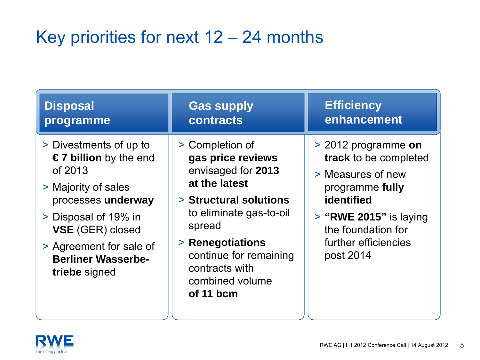## Key priorities for next 12 – 24 months

| <b>Disposal</b>                                                                                                                                                                                                              | <b>Gas supply</b>                                                                                                                                                                                                                          | <b>Efficiency</b>                                                                                                                                                                         |
|------------------------------------------------------------------------------------------------------------------------------------------------------------------------------------------------------------------------------|--------------------------------------------------------------------------------------------------------------------------------------------------------------------------------------------------------------------------------------------|-------------------------------------------------------------------------------------------------------------------------------------------------------------------------------------------|
| programme                                                                                                                                                                                                                    | contracts                                                                                                                                                                                                                                  | enhancement                                                                                                                                                                               |
| > Divestments of up to<br>€7 billion by the end<br>of 2013<br>> Majority of sales<br>processes underway<br>> Disposal of 19% in<br>VSE (GER) closed<br>> Agreement for sale of<br><b>Berliner Wasserbe-</b><br>triebe signed | > Completion of<br>gas price reviews<br>envisaged for 2013<br>at the latest<br>> Structural solutions<br>to eliminate gas-to-oil<br>spread<br>> Renegotiations<br>continue for remaining<br>contracts with<br>combined volume<br>of 11 bcm | > 2012 programme on<br>track to be completed<br>> Measures of new<br>programme fully<br>identified<br>$>$ "RWE 2015" is laying<br>the foundation for<br>further efficiencies<br>post 2014 |

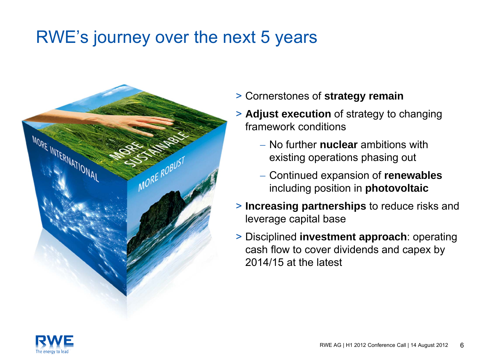### RWE's journey over the next 5 years



- > Cornerstones of **strategy remain**
- > **Adjust execution** of strategy to changing framework conditions
	- No further **nuclear** ambitions withexisting operations phasing out
	- Continued expansion of **renewables** including position in **photovoltaic**
- > **Increasing partnerships** to reduce risks and leverage capital base
- > Disciplined **investment approach**: operating cash flow to cover dividends and capex by 2014/15 at the latest

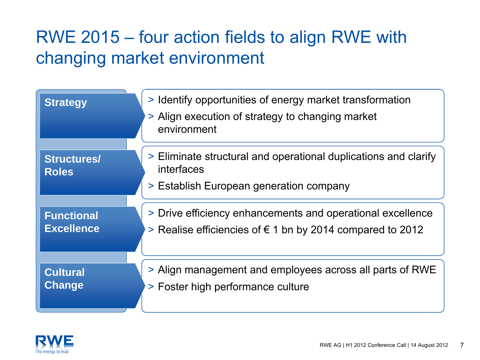### RWE 2015 – four action fields to align RWE with changing market environment

| <b>Strategy</b>                    | > Identify opportunities of energy market transformation<br>> Align execution of strategy to changing market<br>environment |
|------------------------------------|-----------------------------------------------------------------------------------------------------------------------------|
| <b>Structures/</b><br><b>Roles</b> | > Eliminate structural and operational duplications and clarify<br>interfaces<br>> Establish European generation company    |
| <b>Functional</b>                  | > Drive efficiency enhancements and operational excellence                                                                  |
| <b>Excellence</b>                  | > Realise efficiencies of € 1 bn by 2014 compared to 2012                                                                   |
| <b>Cultural</b>                    | > Align management and employees across all parts of RWE                                                                    |
| <b>Change</b>                      | > Foster high performance culture                                                                                           |

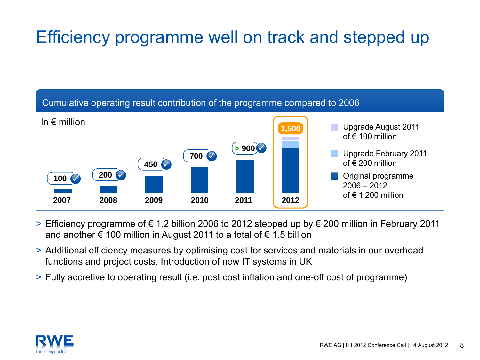## Efficiency programme well on track and stepped up



- > Efficiency programme of € 1.2 billion 2006 to 2012 stepped up by € 200 million in February 2011 and another  $\epsilon$  100 million in August 2011 to a total of  $\epsilon$  1.5 billion
- > Additional efficiency measures by optimising cost for services and materials in our overhead functions and project costs. Introduction of new IT systems in UK
- > Fully accretive to operating result (i.e. post cost inflation and one-off cost of programme)

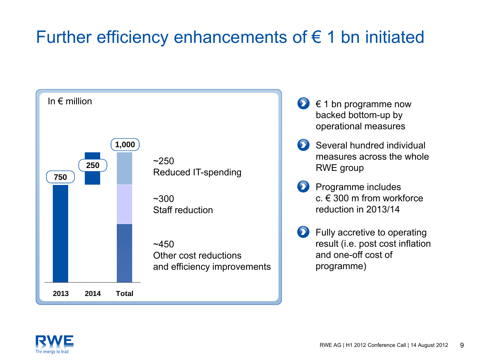### Further efficiency enhancements of  $\epsilon$  1 bn initiated



- $\epsilon$  1 bn programme now backed bottom-up by operational measures
- Several hundred individual measures across the whole RWE group
- Programme includes  $c \notin 300$  m from workforce reduction in 2013/14
- Fully accretive to operating result (i.e. post cost inflation and one-off cost of programme)

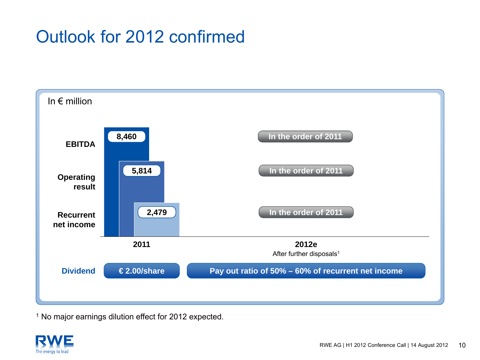### Outlook for 2012 confirmed



<sup>1</sup> No major earnings dilution effect for 2012 expected.

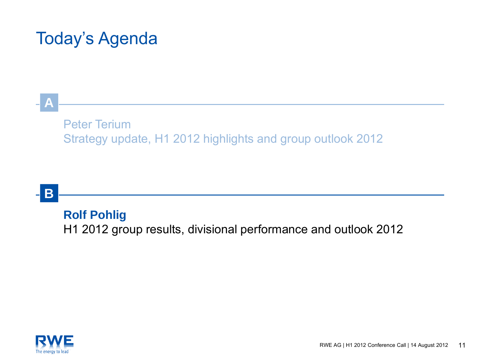### Today's Agenda

### Peter TeriumStrategy update, H1 2012 highlights and group outlook 2012

### **B**

**A**

### **Rolf Pohlig**

H1 2012 group results, divisional performance and outlook 2012

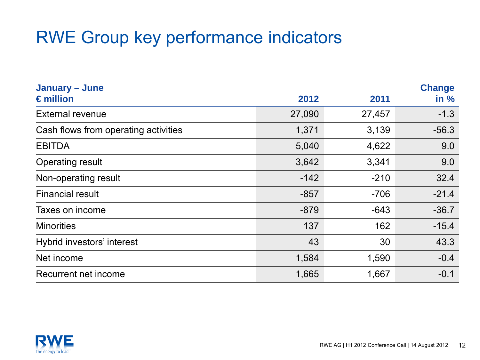### RWE Group key performance indicators

| January - June<br>$\epsilon$ million | 2012   | 2011   | <b>Change</b><br>in % |
|--------------------------------------|--------|--------|-----------------------|
| <b>External revenue</b>              | 27,090 | 27,457 | $-1.3$                |
|                                      |        |        |                       |
| Cash flows from operating activities | 1,371  | 3,139  | $-56.3$               |
| <b>EBITDA</b>                        | 5,040  | 4,622  | 9.0                   |
| <b>Operating result</b>              | 3,642  | 3,341  | 9.0                   |
| Non-operating result                 | $-142$ | $-210$ | 32.4                  |
| <b>Financial result</b>              | $-857$ | $-706$ | $-21.4$               |
| Taxes on income                      | $-879$ | $-643$ | $-36.7$               |
| <b>Minorities</b>                    | 137    | 162    | $-15.4$               |
| Hybrid investors' interest           | 43     | 30     | 43.3                  |
| Net income                           | 1,584  | 1,590  | $-0.4$                |
| Recurrent net income                 | 1,665  | 1,667  | $-0.1$                |

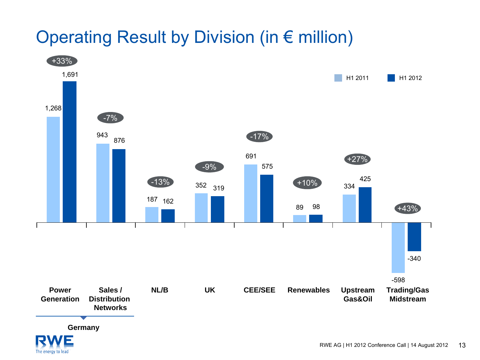### Operating Result by Division (in € million)



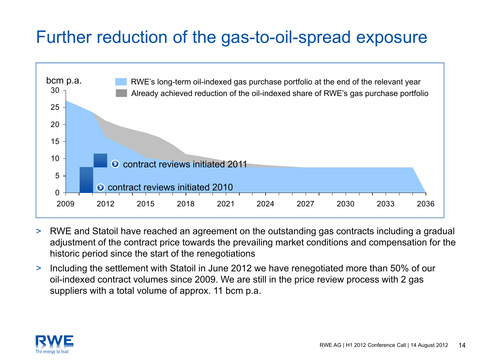### Further reduction of the gas-to-oil-spread exposure



- > RWE and Statoil have reached an agreement on the outstanding gas contracts including a gradual adjustment of the contract price towards the prevailing market conditions and compensation for the historic period since the start of the renegotiations
- $\geq$  Including the settlement with Statoil in June 2012 we have renegotiated more than 50% of our oil-indexed contract volumes since 2009. We are still in the price review process with 2 gas suppliers with a total volume of approx. 11 bcm p.a.

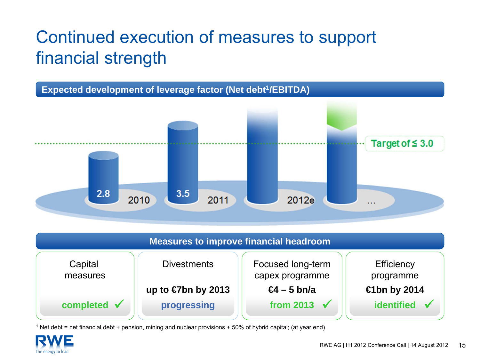## Continued execution of measures to support financial strength





1 Net debt = net financial debt + pension, mining and nuclear provisions + 50% of hybrid capital; (at year end).

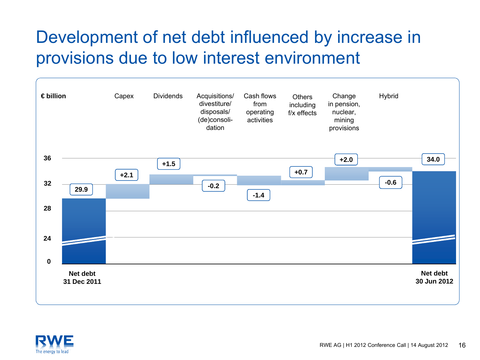### Development of net debt influenced by increase in provisions due to low interest environment



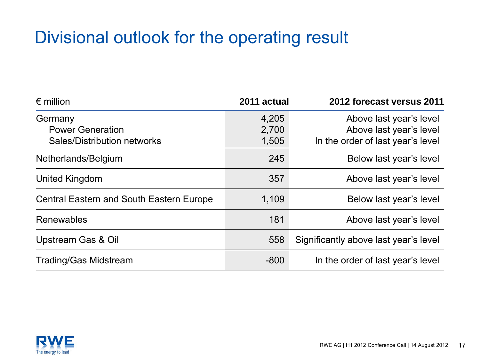### Divisional outlook for the operating result

| $\epsilon$ million                              | 2011 actual | 2012 forecast versus 2011             |
|-------------------------------------------------|-------------|---------------------------------------|
| Germany                                         | 4,205       | Above last year's level               |
| <b>Power Generation</b>                         | 2,700       | Above last year's level               |
| <b>Sales/Distribution networks</b>              | 1,505       | In the order of last year's level     |
| Netherlands/Belgium                             | 245         | Below last year's level               |
| <b>United Kingdom</b>                           | 357         | Above last year's level               |
| <b>Central Eastern and South Eastern Europe</b> | 1,109       | Below last year's level               |
| Renewables                                      | 181         | Above last year's level               |
| <b>Upstream Gas &amp; Oil</b>                   | 558         | Significantly above last year's level |
| <b>Trading/Gas Midstream</b>                    | $-800$      | In the order of last year's level     |

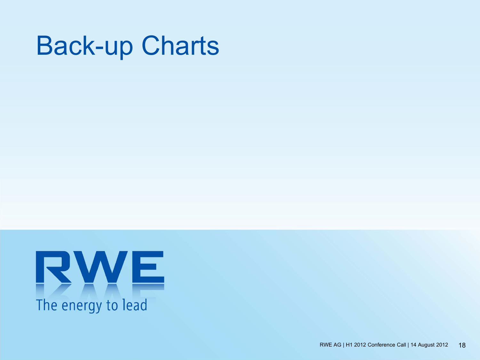# Back-up Charts

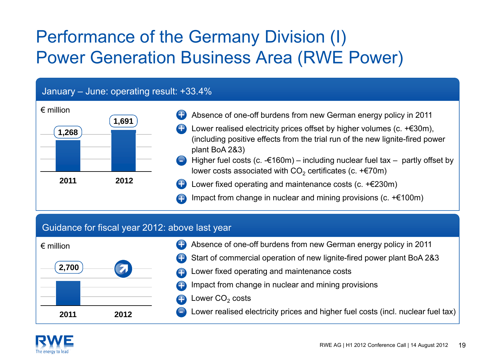### Performance of the Germany Division (I) Power Generation Business Area (RWE Power)

#### January – June: operating result: +33.4%



- Absence of one-off burdens from new German energy policy in 2011
- Lower realised electricity prices offset by higher volumes (c.  $+ \epsilon$ 30m), (including positive effects from the trial run of the new lignite-fired power plant BoA 2&3)
- Higher fuel costs (c.  $-£160m$ ) including nuclear fuel tax partly offset by lower costs associated with CO $_2$  certificates (c. +€70m)
- Lower fixed operating and maintenance costs (c. +€230m)
- Impact from change in nuclear and mining provisions (c. +€100m)

#### Guidance for fiscal year 2012: above last year



- Absence of one-off burdens from new German energy policy in 2011 +
- Start of commercial operation of new lignite-fired power plant BoA 2&3 +
- Lower fixed operating and maintenance costs
- Impact from change in nuclear and mining provisions +
	- Lower CO $_{\rm 2}$  costs

+

Lower realised electricity prices and higher fuel costs (incl. nuclear fuel tax)

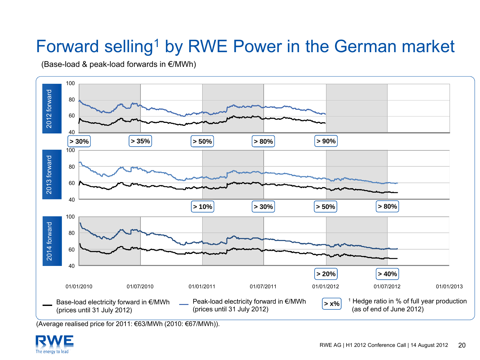## Forward selling<sup>1</sup> by RWE Power in the German market

(Base-load & peak-load forwards in €/MWh)



(Average realised price for 2011: €63/MWh (2010: €67/MWh)).

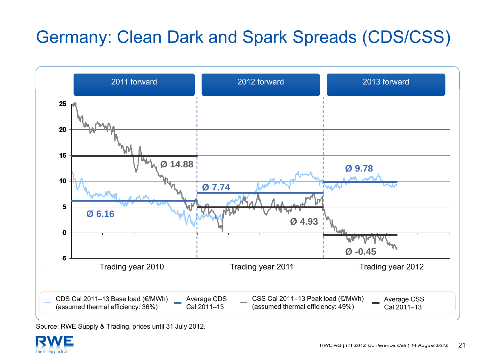### Germany: Clean Dark and Spark Spreads (CDS/CSS)



Source: RWE Supply & Trading, prices until 31 July 2012.

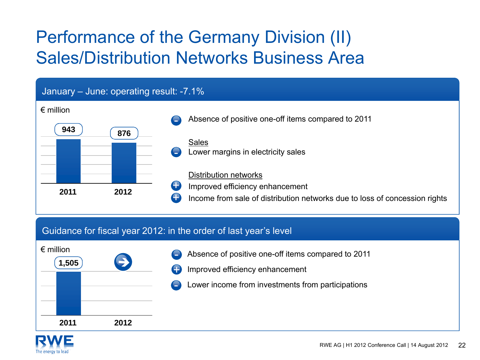### Performance of the Germany Division (II) Sales/Distribution Networks Business Area



#### Guidance for fiscal year 2012: in the order of last year's level



- Absence of positive one-off items compared to 2011 -
- Improved efficiency enhancement +
	- Lower income from investments from participations

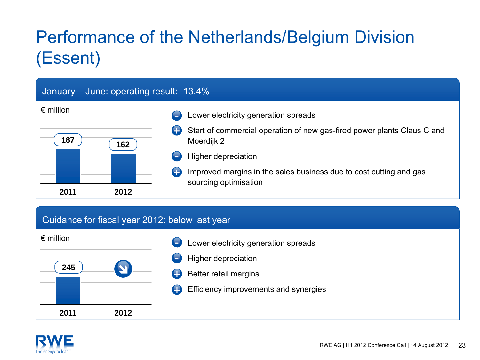## Performance of the Netherlands/Belgium Division (Essent)

#### January – June: operating result: -13.4%

- **187 162**Lower electricity generation spreads Start of commercial operation of new gas-fired power plants Claus C and Moerdijk 2 Higher depreciation  $\left( \begin{matrix} \textbf{1} \end{matrix} \right)$ 
	- Improved margins in the sales business due to cost cutting and gas sourcing optimisation +

#### Guidance for fiscal year 2012: below last year

**2012**





€ million

**2011**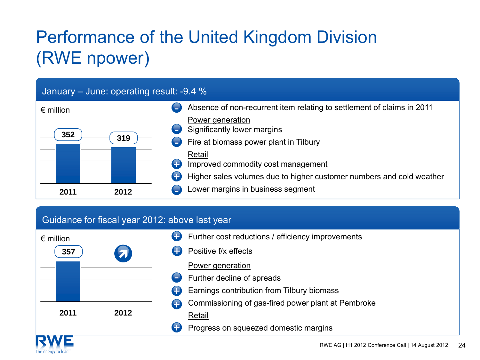## Performance of the United Kingdom Division (RWE npower)

#### January – June: operating result: -9.4 %



#### Guidance for fiscal year 2012: above last year

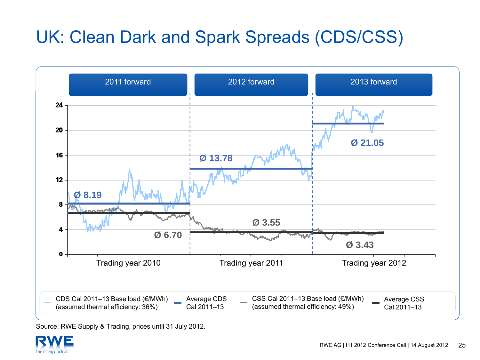## UK: Clean Dark and Spark Spreads (CDS/CSS)



Source: RWE Supply & Trading, prices until 31 July 2012.

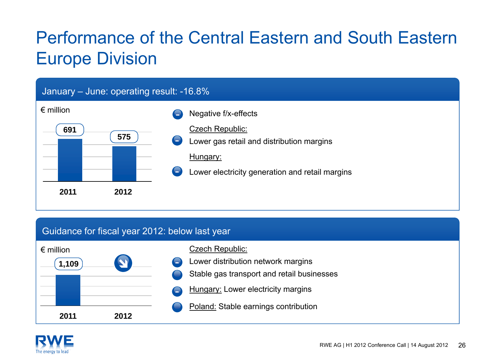## Performance of the Central Eastern and South Eastern Europe Division

#### January – June: operating result: -16.8%



#### Guidance for fiscal year 2012: below last year



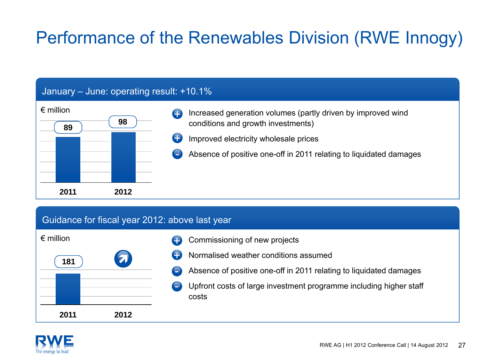## Performance of the Renewables Division (RWE Innogy)

#### January – June: operating result: +10.1%



#### Guidance for fiscal year 2012: above last year

| $\epsilon$ million |                         |
|--------------------|-------------------------|
| 181                | $\overline{\mathbf{z}}$ |
|                    |                         |
|                    |                         |
| 2011               | 2012                    |

- Commissioning of new projects +
- Normalised weather conditions assumed+
- Absence of positive one-off in 2011 relating to liquidated damages
- Upfront costs of large investment programme including higher staff costs

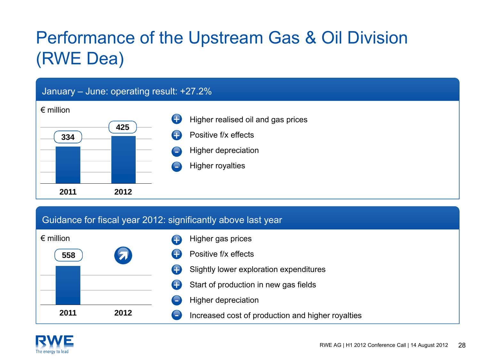## Performance of the Upstream Gas & Oil Division (RWE Dea)

#### January – June: operating result: +27.2% € million**20113344252012**Higher realised oil and gas prices Positive f/x effectsHigher depreciation Higher royalties  $\left( \begin{matrix} \textbf{1} \end{matrix} \right)$  $\bullet$

#### Guidance for fiscal year 2012: significantly above last year



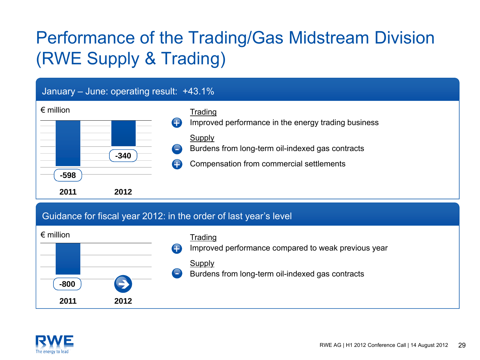## Performance of the Trading/Gas Midstream Division (RWE Supply & Trading)





Improved performance compared to weak previous year  $\bigoplus$ 

#### Supply

Burdens from long-term oil-indexed gas contracts

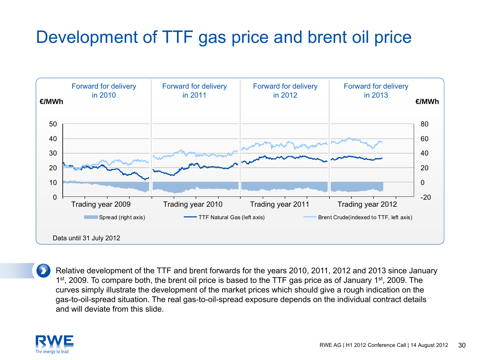### Development of TTF gas price and brent oil price



Relative development of the TTF and brent forwards for the years 2010, 2011, 2012 and 2013 since January 1<sup>st</sup>, 2009. To compare both, the brent oil price is based to the TTF gas price as of January 1<sup>st</sup>, 2009. The curves simply illustrate the development of the market prices which should give a rough indication on the gas-to-oil-spread situation. The real gas-to-oil-spread exposure depends on the individual contract details and will deviate from this slide.

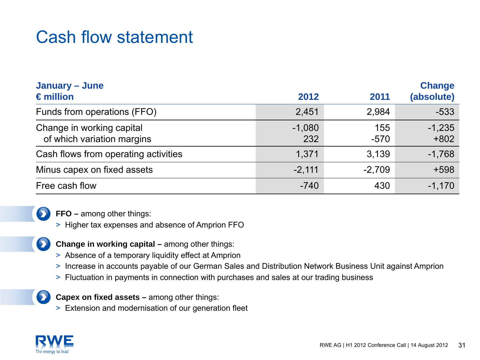### Cash flow statement

| January - June<br>$\epsilon$ million                    | 2012            | 2011          | <b>Change</b><br>(absolute) |
|---------------------------------------------------------|-----------------|---------------|-----------------------------|
| Funds from operations (FFO)                             | 2,451           | 2,984         | $-533$                      |
| Change in working capital<br>of which variation margins | $-1,080$<br>232 | 155<br>$-570$ | $-1,235$<br>$+802$          |
| Cash flows from operating activities                    | 1,371           | 3,139         | $-1,768$                    |
| Minus capex on fixed assets                             | $-2,111$        | $-2,709$      | $+598$                      |
| Free cash flow                                          | $-740$          | 430           | $-1,170$                    |



 $\bullet$ 

**FFO –** among other things:

- > Higher tax expenses and absence of Amprion FFO
- **Change in working capital –** among other things:
- > Absence of a temporary liquidity effect at Amprion
- > Increase in accounts payable of our German Sales and Distribution Network Business Unit against Amprion
- > Fluctuation in payments in connection with purchases and sales at our trading business



**Capex on fixed assets –** among other things:

> Extension and modernisation of our generation fleet

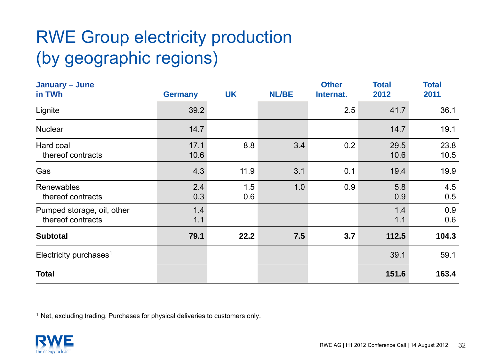## RWE Group electricity production (by geographic regions)

| January - June<br>in TWh                        | <b>Germany</b> | <b>UK</b>  | <b>NL/BE</b> | <b>Other</b><br>Internat. | <b>Total</b><br>2012 | <b>Total</b><br>2011 |
|-------------------------------------------------|----------------|------------|--------------|---------------------------|----------------------|----------------------|
| Lignite                                         | 39.2           |            |              | 2.5                       | 41.7                 | 36.1                 |
| <b>Nuclear</b>                                  | 14.7           |            |              |                           | 14.7                 | 19.1                 |
| Hard coal<br>thereof contracts                  | 17.1<br>10.6   | 8.8        | 3.4          | 0.2                       | 29.5<br>10.6         | 23.8<br>10.5         |
| Gas                                             | 4.3            | 11.9       | 3.1          | 0.1                       | 19.4                 | 19.9                 |
| Renewables<br>thereof contracts                 | 2.4<br>0.3     | 1.5<br>0.6 | 1.0          | 0.9                       | 5.8<br>0.9           | 4.5<br>0.5           |
| Pumped storage, oil, other<br>thereof contracts | 1.4<br>1.1     |            |              |                           | 1.4<br>1.1           | 0.9<br>0.6           |
| <b>Subtotal</b>                                 | 79.1           | 22.2       | 7.5          | 3.7                       | 112.5                | 104.3                |
| Electricity purchases <sup>1</sup>              |                |            |              |                           | 39.1                 | 59.1                 |
| <b>Total</b>                                    |                |            |              |                           | 151.6                | 163.4                |

<sup>1</sup> Net, excluding trading. Purchases for physical deliveries to customers only.

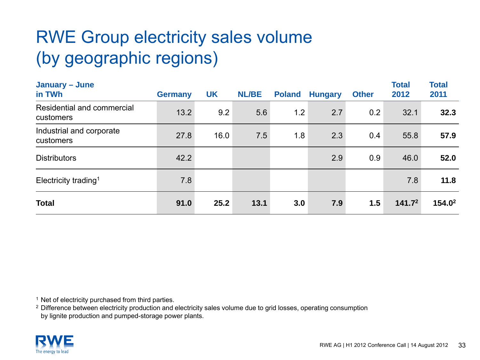## RWE Group electricity sales volume (by geographic regions)

| January - June<br>in TWh                | <b>Germany</b> | <b>UK</b> | <b>NL/BE</b> | <b>Poland</b> | <b>Hungary</b> | <b>Other</b> | <b>Total</b><br>2012 | <b>Total</b><br>2011 |
|-----------------------------------------|----------------|-----------|--------------|---------------|----------------|--------------|----------------------|----------------------|
| Residential and commercial<br>customers | 13.2           | 9.2       | 5.6          | 1.2           | 2.7            | 0.2          | 32.1                 | 32.3                 |
| Industrial and corporate<br>customers   | 27.8           | 16.0      | 7.5          | 1.8           | 2.3            | 0.4          | 55.8                 | 57.9                 |
| <b>Distributors</b>                     | 42.2           |           |              |               | 2.9            | 0.9          | 46.0                 | 52.0                 |
| Electricity trading <sup>1</sup>        | 7.8            |           |              |               |                |              | 7.8                  | 11.8                 |
| <b>Total</b>                            | 91.0           | 25.2      | 13.1         | 3.0           | 7.9            | 1.5          | 141.7 <sup>2</sup>   | 154.0 <sup>2</sup>   |

<sup>1</sup> Net of electricity purchased from third parties.

 $^2$  Difference between electricity production and electricity sales volume due to grid losses, operating consumption by lignite production and pumped-storage power plants.

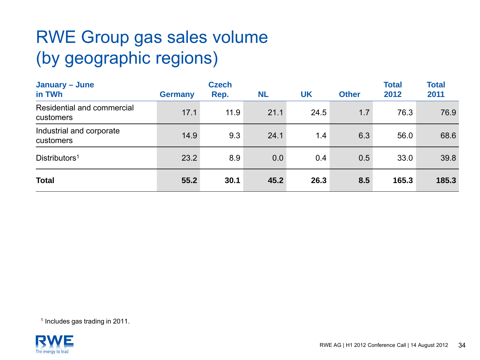## RWE Group gas sales volume (by geographic regions)

| January – June<br>in TWh                | <b>Germany</b> | <b>Czech</b><br>Rep. | <b>NL</b> | <b>UK</b> | <b>Other</b> | <b>Total</b><br>2012 | <b>Total</b><br>2011 |
|-----------------------------------------|----------------|----------------------|-----------|-----------|--------------|----------------------|----------------------|
| Residential and commercial<br>customers | 17.1           | 11.9                 | 21.1      | 24.5      | 1.7          | 76.3                 | 76.9                 |
| Industrial and corporate<br>customers   | 14.9           | 9.3                  | 24.1      | 1.4       | 6.3          | 56.0                 | 68.6                 |
| Distributors <sup>1</sup>               | 23.2           | 8.9                  | 0.0       | 0.4       | 0.5          | 33.0                 | 39.8                 |
| <b>Total</b>                            | 55.2           | 30.1                 | 45.2      | 26.3      | 8.5          | 165.3                | 185.3                |

1 Includes gas trading in 2011.

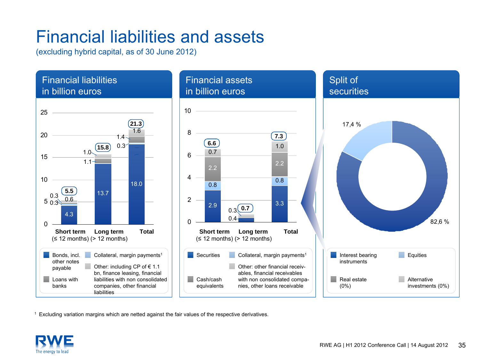### Financial liabilities and assets

(excluding hybrid capital, as of 30 June 2012)



1 Excluding variation margins which are netted against the fair values of the respective derivatives.

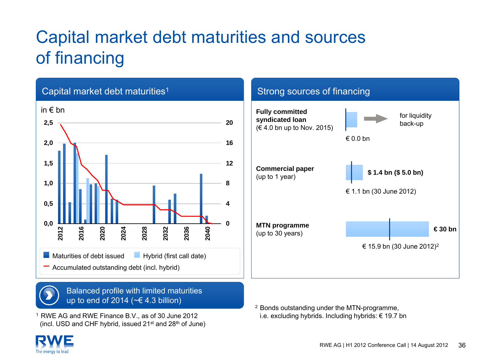## Capital market debt maturities and sources of financing



1 RWE AG and RWE Finance B.V., as of 30 June 2012 (incl. USD and CHF hybrid, issued  $21^{st}$  and  $28^{th}$  of June)  $^2$  Bonds outstanding under the MTN-programme, i.e. excluding hybrids. Including hybrids: € 19.7 bn

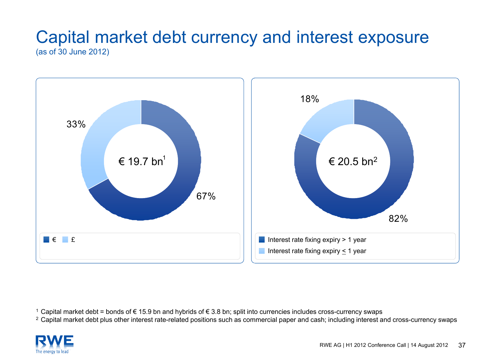### Capital market debt currency and interest exposure (as of 30 June 2012)



1 Capital market debt = bonds of € 15.9 bn and hybrids of € 3.8 bn; split into currencies includes cross-currency swaps

<sup>2</sup> Capital market debt plus other interest rate-related positions such as commercial paper and cash; including interest and cross-currency swaps

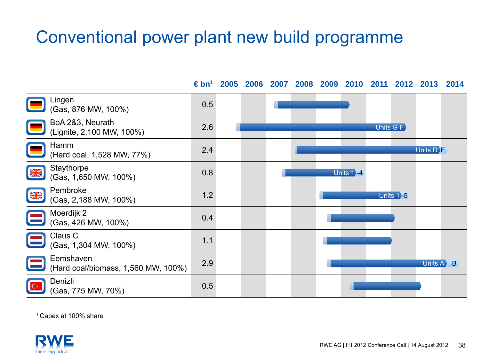### Conventional power plant new build programme

**€ bn1 2005 2006 2007 2008 2009 2010 2011 2012 2013 2014**Lingen (Gas, 876 MW, 100%) 0.5 BoA 2&3, Neurath (Lignite, 2,100 MW, 100%) 2.6 Units G FHamm (Hard coal, 1,528 MW, 77%) 2.4 Units D **i≣ Staythorpe NK** Glaymorpe 0.8<br>(Gas, 1,650 MW, 100%) 0.8 Units 1`-4 Pembroke **NK** rembroke 1.2<br>(Gas, 2,188 MW, 100%) 1.2 Units 1)**5** Moerdijk 2  $(Cas, 426$  MW, 100%) 0.4 Claus C  $\frac{1}{1}$  (Gas, 1,304 MW, 100%) 1.1 Eemshaven(Hard coal/biomass, 1,560 MW, 100%) 2.9 Units A  $\blacktriangleright$  B Denizli(Gas, 775 MW, 70%) 0.5

1 Capex at 100% share

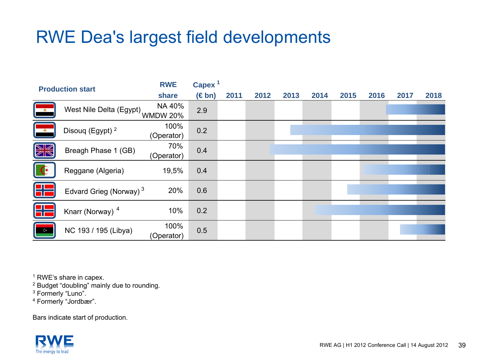### RWE Dea's largest field developments

| <b>Production start</b>                               |                                     | <b>RWE</b>         | Capex <sup>1</sup> |      |      |      |      |      |      |      |      |
|-------------------------------------------------------|-------------------------------------|--------------------|--------------------|------|------|------|------|------|------|------|------|
|                                                       |                                     | share              | $(\in$ bn)         | 2011 | 2012 | 2013 | 2014 | 2015 | 2016 | 2017 | 2018 |
| ▐▁▗▖                                                  | West Nile Delta (Egypt)<br>WMDW 20% |                    | 2.9                |      |      |      |      |      |      |      |      |
| $\begin{array}{ c } \hline \hline \hline \end{array}$ | Disouq (Egypt) <sup>2</sup>         | 100%<br>(Operator) | 0.2                |      |      |      |      |      |      |      |      |
| <b>NK</b>                                             | Breagh Phase 1 (GB)                 | 70%<br>(Operator)  | 0.4                |      |      |      |      |      |      |      |      |
| $\mathbb{G}$                                          | Reggane (Algeria)                   | 19,5%              | 0.4                |      |      |      |      |      |      |      |      |
| 맒                                                     | Edvard Grieg (Norway) <sup>3</sup>  | 20%                | 0.6                |      |      |      |      |      |      |      |      |
| 먂                                                     | Knarr (Norway) <sup>4</sup>         | 10%                | 0.2                |      |      |      |      |      |      |      |      |
| $C^*$                                                 | NC 193 / 195 (Libya)                | 100%<br>(Operator) | 0.5                |      |      |      |      |      |      |      |      |

<sup>1</sup> RWE's share in capex.

<sup>2</sup> Budget "doubling" mainly due to rounding.

3 Formerly "Luno".

4 Formerly "Jordbær".

Bars indicate start of production.

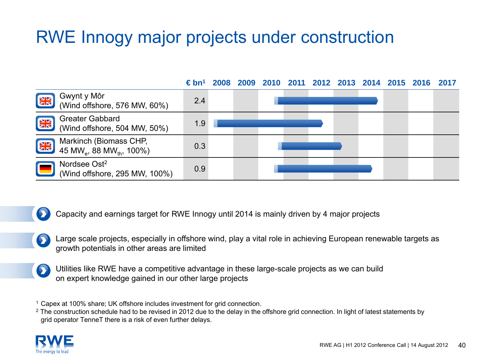### RWE Innogy major projects under construction



Capacity and earnings target for RWE Innogy until 2014 is mainly driven by 4 major projects

- Large scale projects, especially in offshore wind, play a vital role in achieving European renewable targets as growth potentials in other areas are limited
- Utilities like RWE have a competitive advantage in these large-scale projects as we can build  $\bullet$ on expert knowledge gained in our other large projects

1Capex at 100% share; UK offshore includes investment for grid connection.

 $^{\rm 2}$  The construction schedule had to be revised in 2012 due to the delay in the offshore grid connection. In light of latest statements by grid operator TenneT there is a risk of even further delays.